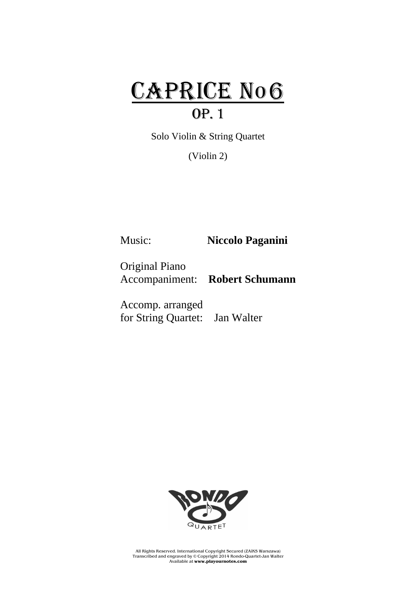## CAPRICE No6 Op. 1

Solo Violin & String Quartet

(Violin 2)

Music: **Niccolo Paganini**

Original Piano Accompaniment: **Robert Schumann**

Accomp. arranged for String Quartet: Jan Walter



All Rights Reserved. International Copyright Secured (ZAiKS Warszawa) Transcribed and engraved by © Copyright 2014 Rondo-Quartet-Jan Walter Available at **www.playournotes.com**